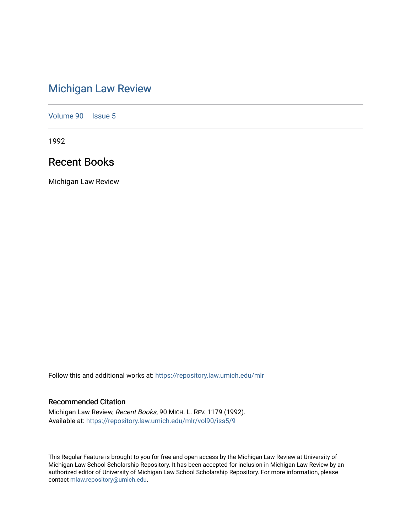# [Michigan Law Review](https://repository.law.umich.edu/mlr)

[Volume 90](https://repository.law.umich.edu/mlr/vol90) | [Issue 5](https://repository.law.umich.edu/mlr/vol90/iss5)

1992

# Recent Books

Michigan Law Review

Follow this and additional works at: [https://repository.law.umich.edu/mlr](https://repository.law.umich.edu/mlr?utm_source=repository.law.umich.edu%2Fmlr%2Fvol90%2Fiss5%2F9&utm_medium=PDF&utm_campaign=PDFCoverPages) 

# Recommended Citation

Michigan Law Review, Recent Books, 90 MICH. L. REV. 1179 (1992). Available at: [https://repository.law.umich.edu/mlr/vol90/iss5/9](https://repository.law.umich.edu/mlr/vol90/iss5/9?utm_source=repository.law.umich.edu%2Fmlr%2Fvol90%2Fiss5%2F9&utm_medium=PDF&utm_campaign=PDFCoverPages)

This Regular Feature is brought to you for free and open access by the Michigan Law Review at University of Michigan Law School Scholarship Repository. It has been accepted for inclusion in Michigan Law Review by an authorized editor of University of Michigan Law School Scholarship Repository. For more information, please contact [mlaw.repository@umich.edu](mailto:mlaw.repository@umich.edu).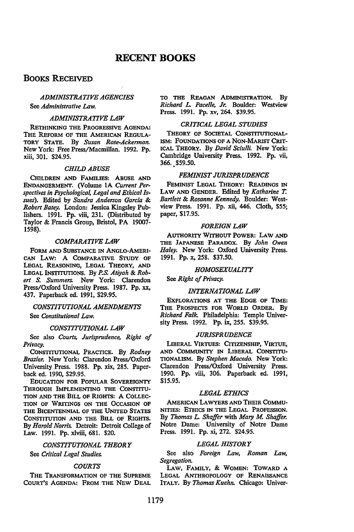# **RECENT BOOKS**

# BOOKS RECEIVED

# *ADMINISTRATIVE AGENCIES*  See *Administrative Law.*

#### *ADMINISTRATIVE LAW*

RETHINKING THE PROGRESSIVE AGENDA: THE REFORM OF THE AMERICAN REGULA-TORY STATE. By *Susan Rose-Ackerman.*  New York: Free Press/Macmillan. 1992. Pp. xiii, 301. \$24.95.

### *CHILD ABUSE*

CHILDREN AND FAMILIES: ABUSE AND ENDANGERMENT. (Volume 1A Current Per*spectives in Psychological, Legal and Ethical Issues).* Edited by *Sandra Anderson Garcia* & *Robert Batey.* London: Jessica Kingsley Publishers. 1991. Pp. viii, 231. (Distributed by Taylor & Francis Group, Bristol, PA 19007- 1598).

#### *COMPARATIVE LAW*

FORM AND SUBSTANCE IN ANGLO-AMERI-CAN LAW: A CoMPARATIVE STUDY OF LEGAL REASONING, LEGAL THEORY, AND LEGAL INSTITUTIONS. By P.S. *Atiyah* & *Robert* S. *Summers.* New York: Clarendon Press/Oxford University Press. 1987. Pp. xx, 437. Paperback ed. 1991, \$29.95.

# *CONSTITUTIONAL AMENDMENTS*

See *Constitutional Law.* 

## *CONSTITUTIONAL LAW*

See also *Courts, Jurisprudence, Right of Privacy.* 

CoNsrITUTIONAL PRACTICE. By *Rodney Brazier.* New York: Clarendon Press/Oxford University Press. 1988. Pp. xix, 285. Paperback ed. 1990, \$29.95.

EDUCATION FOR POPULAR SOVEREIGNTY THROUGH IMPLEMENTING THE CONSTITU-TION AND THE BILL OF RIGHTS: A COLLEC-TION OF WRITINGS ON THE OCCASION OF THE BICENTENNIAL OF THE UNITED STATES CONSTITUTION AND THE BILL OF RIGHTS. By *Harold Norris.* Detroit: Detroit College of Law. 1991. Pp. xlviii, 681. \$20.

# *CONSTITUTIONAL THEORY*  See *Critical Legal Studies.*

#### *COURTS*

THE TRANSFORMATION OF THE SUPREME COURT'S AGENDA: FROM THE NEW DEAL

TO THE REAGAN ADMINISTRATION. By *Richard L. Pace/le, Jr.* Boulder: Westview Press. 1991. Pp. xv, 264. \$39.95.

# *CRITICAL LEGAL STUDIES*

THEORY OF SOCIETAL CONSTITUTIONAL-ISM: FOUNDATIONS OF A NON-MARISf CRIT-ICAL THEORY. By *David Sciulli.* New York: Cambridge University Press. 1992. Pp. vii, 366. \$59.50.

#### *FEMINIST JURISPRUDENCE*

FEMINISf LEGAL THEORY: READINGS IN LAW AND GENDER. Edited by *Katharine T. Bartlett* & *Rosanne Kennedy.* Boulder: Westview Press. 1991. Pp. xii, 446. Cloth, \$55; paper, \$17.95.

# *FOREIGN LAW*

AUTHORITY WITHOUT POWER: LAW AND THE JAPANESE PARADOX. By *John Owen Haley.* New York: Oxford University Press. 1991. Pp. x, 258. \$37.50.

#### *HOMOSEXUALITY*

See *Right of Privacy.* 

#### *INTERNATIONAL LAW*

EXPLORATIONS AT THE EDGE OF TIME: THE PROSPECTS FOR WORLD ORDER. By *Richard Falk.* Philadelphia: Temple University Press. 1992. Pp. ix, 255. \$39.95.

#### *JURISPRUDENCE*

LIBERAL VIRTUES: CITIZENSHIP, VIRTUE, AND CoMMUNITY IN LIBERAL CoNSTITU-TIONALISM. By *Stephen Macedo.* New York: Clarendon Press/Oxford University Press. 1990. Pp. viii, 306. Paperback ed. 1991, \$15.95.

# *LEGAL ETHICS*

AMERICAN LAWYERS AND THEIR CoMMU-NITIES: ETHICS IN THE LEGAL PROFESSION. By *Thomas L. Shaffer* with *Mary M. Shaffer.*  Notre Dame: University of Notre Dame Press. 1991. Pp. xi, 272. \$24.95.

#### *LEGAL HISTORY*

See also *Foreign Law, Roman Law, Segregation.* 

LAW, FAMILY, & WOMEN: TOWARD A LEGAL ANTHROPOLOGY OF RENAISSANCE ITALY. By *Thomas Kuehn.* Chicago: Univer